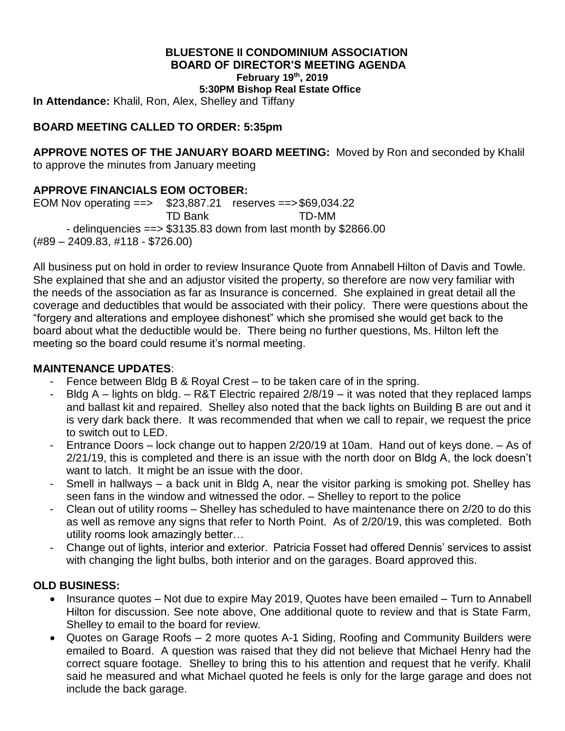### **BLUESTONE II CONDOMINIUM ASSOCIATION BOARD OF DIRECTOR'S MEETING AGENDA February 19 th, 2019**

**5:30PM Bishop Real Estate Office**

**In Attendance:** Khalil, Ron, Alex, Shelley and Tiffany

#### **BOARD MEETING CALLED TO ORDER: 5:35pm**

**APPROVE NOTES OF THE JANUARY BOARD MEETING:** Moved by Ron and seconded by Khalil to approve the minutes from January meeting

#### **APPROVE FINANCIALS EOM OCTOBER:**

EOM Nov operating ==> \$23,887.21 reserves ==>\$69,034.22 TD Bank TD-MM - delinquencies ==> \$3135.83 down from last month by \$2866.00 (#89 – 2409.83, #118 - \$726.00)

All business put on hold in order to review Insurance Quote from Annabell Hilton of Davis and Towle. She explained that she and an adjustor visited the property, so therefore are now very familiar with the needs of the association as far as Insurance is concerned. She explained in great detail all the coverage and deductibles that would be associated with their policy. There were questions about the "forgery and alterations and employee dishonest" which she promised she would get back to the board about what the deductible would be. There being no further questions, Ms. Hilton left the meeting so the board could resume it's normal meeting.

#### **MAINTENANCE UPDATES**:

- Fence between Bldg B & Royal Crest to be taken care of in the spring.
- Bldg A lights on bldg. R&T Electric repaired 2/8/19 it was noted that they replaced lamps and ballast kit and repaired. Shelley also noted that the back lights on Building B are out and it is very dark back there. It was recommended that when we call to repair, we request the price to switch out to LED.
- Entrance Doors lock change out to happen 2/20/19 at 10am. Hand out of keys done. As of 2/21/19, this is completed and there is an issue with the north door on Bldg A, the lock doesn't want to latch. It might be an issue with the door.
- Smell in hallways a back unit in Bldg A, near the visitor parking is smoking pot. Shelley has seen fans in the window and witnessed the odor. – Shelley to report to the police
- Clean out of utility rooms Shelley has scheduled to have maintenance there on 2/20 to do this as well as remove any signs that refer to North Point. As of 2/20/19, this was completed. Both utility rooms look amazingly better…
- Change out of lights, interior and exterior. Patricia Fosset had offered Dennis' services to assist with changing the light bulbs, both interior and on the garages. Board approved this.

### **OLD BUSINESS:**

- Insurance quotes Not due to expire May 2019, Quotes have been emailed Turn to Annabell Hilton for discussion. See note above, One additional quote to review and that is State Farm, Shelley to email to the board for review.
- Quotes on Garage Roofs 2 more quotes A-1 Siding, Roofing and Community Builders were emailed to Board. A question was raised that they did not believe that Michael Henry had the correct square footage. Shelley to bring this to his attention and request that he verify. Khalil said he measured and what Michael quoted he feels is only for the large garage and does not include the back garage.